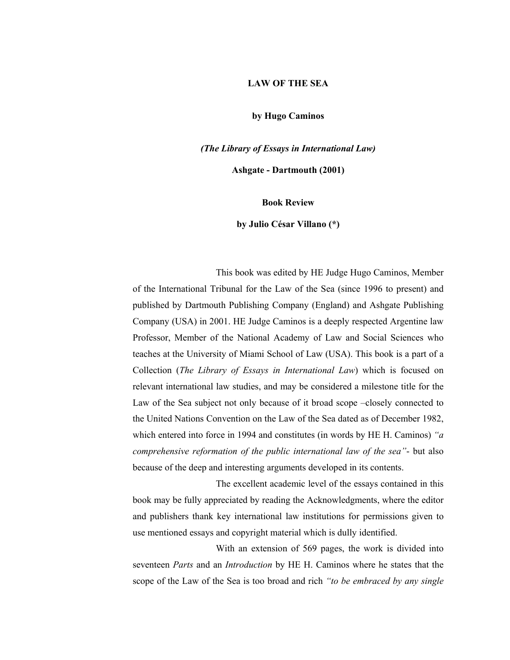## **LAW OF THE SEA**

**by Hugo Caminos** 

*(The Library of Essays in International Law)* 

**Ashgate - Dartmouth (2001)** 

**Book Review** 

**by Julio César Villano (\*)** 

 This book was edited by HE Judge Hugo Caminos, Member of the International Tribunal for the Law of the Sea (since 1996 to present) and published by Dartmouth Publishing Company (England) and Ashgate Publishing Company (USA) in 2001. HE Judge Caminos is a deeply respected Argentine law Professor, Member of the National Academy of Law and Social Sciences who teaches at the University of Miami School of Law (USA). This book is a part of a Collection (*The Library of Essays in International Law*) which is focused on relevant international law studies, and may be considered a milestone title for the Law of the Sea subject not only because of it broad scope –closely connected to the United Nations Convention on the Law of the Sea dated as of December 1982, which entered into force in 1994 and constitutes (in words by HE H. Caminos) *"a comprehensive reformation of the public international law of the sea"*- but also because of the deep and interesting arguments developed in its contents.

 The excellent academic level of the essays contained in this book may be fully appreciated by reading the Acknowledgments, where the editor and publishers thank key international law institutions for permissions given to use mentioned essays and copyright material which is dully identified.

 With an extension of 569 pages, the work is divided into seventeen *Parts* and an *Introduction* by HE H. Caminos where he states that the scope of the Law of the Sea is too broad and rich *"to be embraced by any single*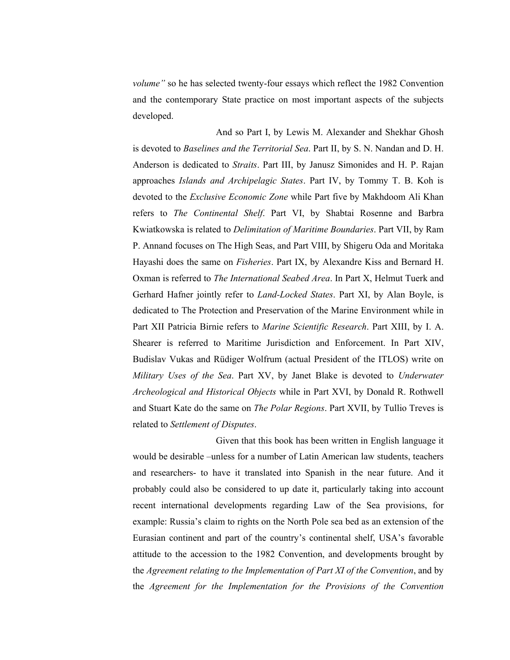*volume"* so he has selected twenty-four essays which reflect the 1982 Convention and the contemporary State practice on most important aspects of the subjects developed.

 And so Part I, by Lewis M. Alexander and Shekhar Ghosh is devoted to *Baselines and the Territorial Sea*. Part II, by S. N. Nandan and D. H. Anderson is dedicated to *Straits*. Part III, by Janusz Simonides and H. P. Rajan approaches *Islands and Archipelagic States*. Part IV, by Tommy T. B. Koh is devoted to the *Exclusive Economic Zone* while Part five by Makhdoom Ali Khan refers to *The Continental Shelf*. Part VI, by Shabtai Rosenne and Barbra Kwiatkowska is related to *Delimitation of Maritime Boundaries*. Part VII, by Ram P. Annand focuses on The High Seas, and Part VIII, by Shigeru Oda and Moritaka Hayashi does the same on *Fisheries*. Part IX, by Alexandre Kiss and Bernard H. Oxman is referred to *The International Seabed Area*. In Part X, Helmut Tuerk and Gerhard Hafner jointly refer to *Land-Locked States*. Part XI, by Alan Boyle, is dedicated to The Protection and Preservation of the Marine Environment while in Part XII Patricia Birnie refers to *Marine Scientific Research*. Part XIII, by I. A. Shearer is referred to Maritime Jurisdiction and Enforcement. In Part XIV, Budislav Vukas and Rüdiger Wolfrum (actual President of the ITLOS) write on *Military Uses of the Sea*. Part XV, by Janet Blake is devoted to *Underwater Archeological and Historical Objects* while in Part XVI, by Donald R. Rothwell and Stuart Kate do the same on *The Polar Regions*. Part XVII, by Tullio Treves is related to *Settlement of Disputes*.

 Given that this book has been written in English language it would be desirable –unless for a number of Latin American law students, teachers and researchers- to have it translated into Spanish in the near future. And it probably could also be considered to up date it, particularly taking into account recent international developments regarding Law of the Sea provisions, for example: Russia's claim to rights on the North Pole sea bed as an extension of the Eurasian continent and part of the country's continental shelf, USA's favorable attitude to the accession to the 1982 Convention, and developments brought by the *Agreement relating to the Implementation of Part XI of the Convention*, and by the *Agreement for the Implementation for the Provisions of the Convention*